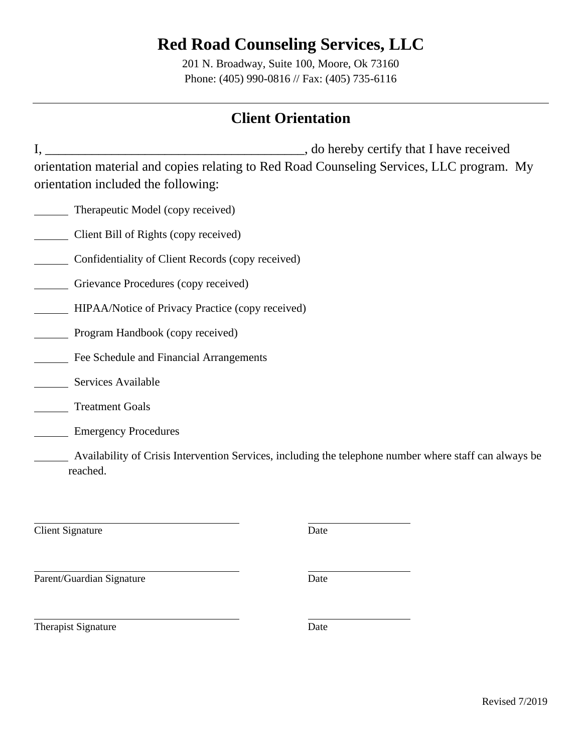201 N. Broadway, Suite 100, Moore, Ok 73160 Phone: (405) 990-0816 // Fax: (405) 735-6116

### **Client Orientation**

I, \_\_\_\_\_\_\_\_\_\_\_\_\_\_\_\_\_\_\_\_\_\_\_\_\_\_\_\_\_\_\_\_\_\_\_\_\_\_\_, do hereby certify that I have received orientation material and copies relating to Red Road Counseling Services, LLC program. My orientation included the following:

- Therapeutic Model (copy received)
- Client Bill of Rights (copy received)
- Confidentiality of Client Records (copy received)
- Grievance Procedures (copy received)
- **HIPAA/Notice of Privacy Practice (copy received)**
- **Program Handbook (copy received)**
- Fee Schedule and Financial Arrangements
- Services Available
- **Treatment Goals**
- Emergency Procedures

 Availability of Crisis Intervention Services, including the telephone number where staff can always be reached.

Client Signature Date

Parent/Guardian Signature Date

Therapist Signature Date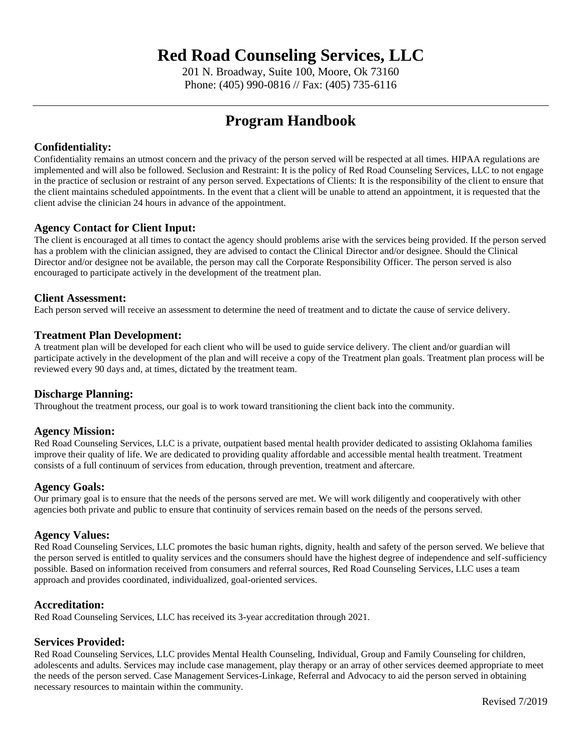201 N. Broadway, Suite 100, Moore, Ok 73160 Phone: (405) 990-0816 // Fax: (405) 735-6116

### **Program Handbook**

#### **Confidentiality:**

Confidentiality remains an utmost concern and the privacy of the person served will be respected at all times. HIPAA regulations are implemented and will also be followed. Seclusion and Restraint: It is the policy of Red Road Counseling Services, LLC to not engage in the practice of seclusion or restraint of any person served. Expectations of Clients: It is the responsibility of the client to ensure that the client maintains scheduled appointments. In the event that a client will be unable to attend an appointment, it is requested that the client advise the clinician 24 hours in advance of the appointment.

#### **Agency Contact for Client Input:**

The client is encouraged at all times to contact the agency should problems arise with the services being provided. If the person served has a problem with the clinician assigned, they are advised to contact the Clinical Director and/or designee. Should the Clinical Director and/or designee not be available, the person may call the Corporate Responsibility Officer. The person served is also encouraged to participate actively in the development of the treatment plan.

#### **Client Assessment:**

Each person served will receive an assessment to determine the need of treatment and to dictate the cause of service delivery.

#### **Treatment Plan Development:**

A treatment plan will be developed for each client who will be used to guide service delivery. The client and/or guardian will participate actively in the development of the plan and will receive a copy of the Treatment plan goals. Treatment plan process will be reviewed every 90 days and, at times, dictated by the treatment team.

#### **Discharge Planning:**

Throughout the treatment process, our goal is to work toward transitioning the client back into the community.

#### **Agency Mission:**

Red Road Counseling Services, LLC is a private, outpatient based mental health provider dedicated to assisting Oklahoma families improve their quality of life. We are dedicated to providing quality affordable and accessible mental health treatment. Treatment consists of a full continuum of services from education, through prevention, treatment and aftercare.

#### **Agency Goals:**

Our primary goal is to ensure that the needs of the persons served are met. We will work diligently and cooperatively with other agencies both private and public to ensure that continuity of services remain based on the needs of the persons served.

#### **Agency Values:**

Red Road Counseling Services, LLC promotes the basic human rights, dignity, health and safety of the person served. We believe that the person served is entitled to quality services and the consumers should have the highest degree of independence and self-sufficiency possible. Based on information received from consumers and referral sources, Red Road Counseling Services, LLC uses a team approach and provides coordinated, individualized, goal-oriented services.

#### **Accreditation:**

Red Road Counseling Services, LLC has received its 3-year accreditation through 2021.

#### **Services Provided:**

Red Road Counseling Services, LLC provides Mental Health Counseling, Individual, Group and Family Counseling for children, adolescents and adults. Services may include case management, play therapy or an array of other services deemed appropriate to meet the needs of the person served. Case Management Services-Linkage, Referral and Advocacy to aid the person served in obtaining necessary resources to maintain within the community.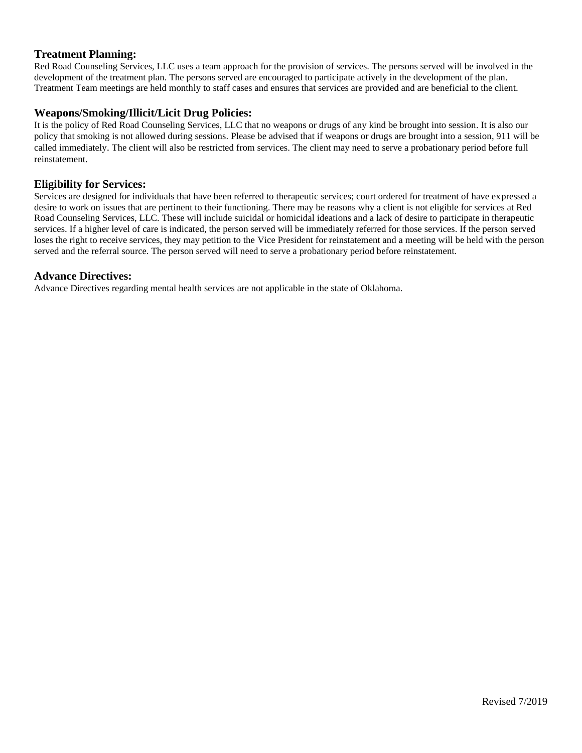#### **Treatment Planning:**

Red Road Counseling Services, LLC uses a team approach for the provision of services. The persons served will be involved in the development of the treatment plan. The persons served are encouraged to participate actively in the development of the plan. Treatment Team meetings are held monthly to staff cases and ensures that services are provided and are beneficial to the client.

#### **Weapons/Smoking/Illicit/Licit Drug Policies:**

It is the policy of Red Road Counseling Services, LLC that no weapons or drugs of any kind be brought into session. It is also our policy that smoking is not allowed during sessions. Please be advised that if weapons or drugs are brought into a session, 911 will be called immediately. The client will also be restricted from services. The client may need to serve a probationary period before full reinstatement.

#### **Eligibility for Services:**

Services are designed for individuals that have been referred to therapeutic services; court ordered for treatment of have expressed a desire to work on issues that are pertinent to their functioning. There may be reasons why a client is not eligible for services at Red Road Counseling Services, LLC. These will include suicidal or homicidal ideations and a lack of desire to participate in therapeutic services. If a higher level of care is indicated, the person served will be immediately referred for those services. If the person served loses the right to receive services, they may petition to the Vice President for reinstatement and a meeting will be held with the person served and the referral source. The person served will need to serve a probationary period before reinstatement.

#### **Advance Directives:**

Advance Directives regarding mental health services are not applicable in the state of Oklahoma.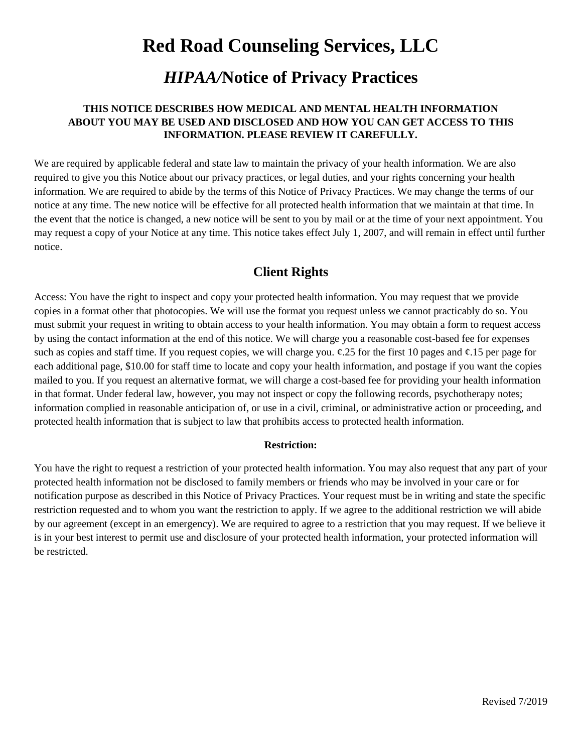### *HIPAA/***Notice of Privacy Practices**

#### **THIS NOTICE DESCRIBES HOW MEDICAL AND MENTAL HEALTH INFORMATION ABOUT YOU MAY BE USED AND DISCLOSED AND HOW YOU CAN GET ACCESS TO THIS INFORMATION. PLEASE REVIEW IT CAREFULLY.**

We are required by applicable federal and state law to maintain the privacy of your health information. We are also required to give you this Notice about our privacy practices, or legal duties, and your rights concerning your health information. We are required to abide by the terms of this Notice of Privacy Practices. We may change the terms of our notice at any time. The new notice will be effective for all protected health information that we maintain at that time. In the event that the notice is changed, a new notice will be sent to you by mail or at the time of your next appointment. You may request a copy of your Notice at any time. This notice takes effect July 1, 2007, and will remain in effect until further notice.

### **Client Rights**

Access: You have the right to inspect and copy your protected health information. You may request that we provide copies in a format other that photocopies. We will use the format you request unless we cannot practicably do so. You must submit your request in writing to obtain access to your health information. You may obtain a form to request access by using the contact information at the end of this notice. We will charge you a reasonable cost-based fee for expenses such as copies and staff time. If you request copies, we will charge you.  $\varphi$ .25 for the first 10 pages and  $\varphi$ .15 per page for each additional page, \$10.00 for staff time to locate and copy your health information, and postage if you want the copies mailed to you. If you request an alternative format, we will charge a cost-based fee for providing your health information in that format. Under federal law, however, you may not inspect or copy the following records, psychotherapy notes; information complied in reasonable anticipation of, or use in a civil, criminal, or administrative action or proceeding, and protected health information that is subject to law that prohibits access to protected health information.

#### **Restriction:**

You have the right to request a restriction of your protected health information. You may also request that any part of your protected health information not be disclosed to family members or friends who may be involved in your care or for notification purpose as described in this Notice of Privacy Practices. Your request must be in writing and state the specific restriction requested and to whom you want the restriction to apply. If we agree to the additional restriction we will abide by our agreement (except in an emergency). We are required to agree to a restriction that you may request. If we believe it is in your best interest to permit use and disclosure of your protected health information, your protected information will be restricted.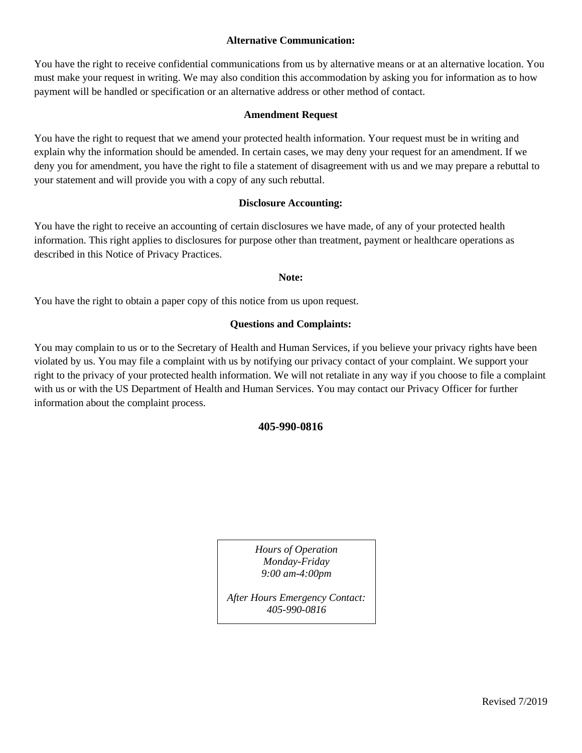#### **Alternative Communication:**

You have the right to receive confidential communications from us by alternative means or at an alternative location. You must make your request in writing. We may also condition this accommodation by asking you for information as to how payment will be handled or specification or an alternative address or other method of contact.

#### **Amendment Request**

You have the right to request that we amend your protected health information. Your request must be in writing and explain why the information should be amended. In certain cases, we may deny your request for an amendment. If we deny you for amendment, you have the right to file a statement of disagreement with us and we may prepare a rebuttal to your statement and will provide you with a copy of any such rebuttal.

#### **Disclosure Accounting:**

You have the right to receive an accounting of certain disclosures we have made, of any of your protected health information. This right applies to disclosures for purpose other than treatment, payment or healthcare operations as described in this Notice of Privacy Practices.

#### **Note:**

You have the right to obtain a paper copy of this notice from us upon request.

#### **Questions and Complaints:**

You may complain to us or to the Secretary of Health and Human Services, if you believe your privacy rights have been violated by us. You may file a complaint with us by notifying our privacy contact of your complaint. We support your right to the privacy of your protected health information. We will not retaliate in any way if you choose to file a complaint with us or with the US Department of Health and Human Services. You may contact our Privacy Officer for further information about the complaint process.

#### **405-990-0816**

*Hours of Operation Monday-Friday 9:00 am-4:00pm*

*After Hours Emergency Contact: 405-990-0816*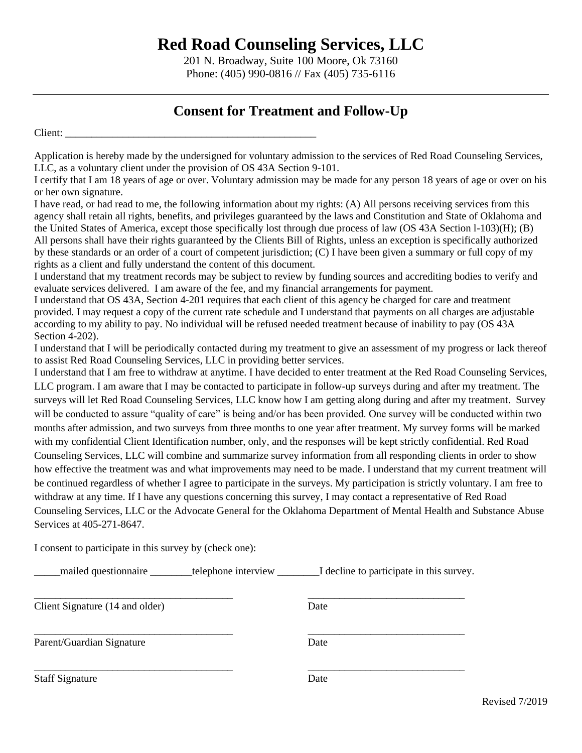201 N. Broadway, Suite 100 Moore, Ok 73160 Phone: (405) 990-0816 // Fax (405) 735-6116

### **Consent for Treatment and Follow-Up**

Client:

Application is hereby made by the undersigned for voluntary admission to the services of Red Road Counseling Services, LLC, as a voluntary client under the provision of OS 43A Section 9-101.

I certify that I am 18 years of age or over. Voluntary admission may be made for any person 18 years of age or over on his or her own signature.

I have read, or had read to me, the following information about my rights: (A) All persons receiving services from this agency shall retain all rights, benefits, and privileges guaranteed by the laws and Constitution and State of Oklahoma and the United States of America, except those specifically lost through due process of law (OS 43A Section l-103)(H); (B) All persons shall have their rights guaranteed by the Clients Bill of Rights, unless an exception is specifically authorized by these standards or an order of a court of competent jurisdiction; (C) I have been given a summary or full copy of my rights as a client and fully understand the content of this document.

I understand that my treatment records may be subject to review by funding sources and accrediting bodies to verify and evaluate services delivered. I am aware of the fee, and my financial arrangements for payment.

I understand that OS 43A, Section 4-201 requires that each client of this agency be charged for care and treatment provided. I may request a copy of the current rate schedule and I understand that payments on all charges are adjustable according to my ability to pay. No individual will be refused needed treatment because of inability to pay (OS 43A Section 4-202).

I understand that I will be periodically contacted during my treatment to give an assessment of my progress or lack thereof to assist Red Road Counseling Services, LLC in providing better services.

I understand that I am free to withdraw at anytime. I have decided to enter treatment at the Red Road Counseling Services, LLC program. I am aware that I may be contacted to participate in follow-up surveys during and after my treatment. The surveys will let Red Road Counseling Services, LLC know how I am getting along during and after my treatment. Survey will be conducted to assure "quality of care" is being and/or has been provided. One survey will be conducted within two months after admission, and two surveys from three months to one year after treatment. My survey forms will be marked with my confidential Client Identification number, only, and the responses will be kept strictly confidential. Red Road Counseling Services, LLC will combine and summarize survey information from all responding clients in order to show how effective the treatment was and what improvements may need to be made. I understand that my current treatment will be continued regardless of whether I agree to participate in the surveys. My participation is strictly voluntary. I am free to withdraw at any time. If I have any questions concerning this survey, I may contact a representative of Red Road Counseling Services, LLC or the Advocate General for the Oklahoma Department of Mental Health and Substance Abuse Services at 405-271-8647.

I consent to participate in this survey by (check one):

mailed questionnaire **the example interview** I decline to participate in this survey.

\_\_\_\_\_\_\_\_\_\_\_\_\_\_\_\_\_\_\_\_\_\_\_\_\_\_\_\_\_\_\_\_\_\_\_\_\_\_ \_\_\_\_\_\_\_\_\_\_\_\_\_\_\_\_\_\_\_\_\_\_\_\_\_\_\_\_\_\_ Client Signature (14 and older) Date \_\_\_\_\_\_\_\_\_\_\_\_\_\_\_\_\_\_\_\_\_\_\_\_\_\_\_\_\_\_\_\_\_\_\_\_\_\_ \_\_\_\_\_\_\_\_\_\_\_\_\_\_\_\_\_\_\_\_\_\_\_\_\_\_\_\_\_\_ Parent/Guardian Signature Date \_\_\_\_\_\_\_\_\_\_\_\_\_\_\_\_\_\_\_\_\_\_\_\_\_\_\_\_\_\_\_\_\_\_\_\_\_\_ \_\_\_\_\_\_\_\_\_\_\_\_\_\_\_\_\_\_\_\_\_\_\_\_\_\_\_\_\_\_ Staff Signature Date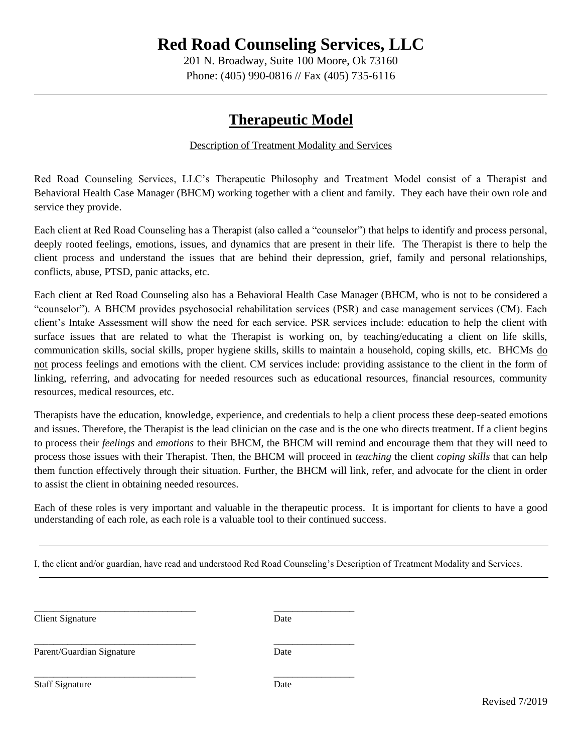201 N. Broadway, Suite 100 Moore, Ok 73160 Phone: (405) 990-0816 // Fax (405) 735-6116

### **Therapeutic Model**

#### Description of Treatment Modality and Services

Red Road Counseling Services, LLC's Therapeutic Philosophy and Treatment Model consist of a Therapist and Behavioral Health Case Manager (BHCM) working together with a client and family. They each have their own role and service they provide.

Each client at Red Road Counseling has a Therapist (also called a "counselor") that helps to identify and process personal, deeply rooted feelings, emotions, issues, and dynamics that are present in their life. The Therapist is there to help the client process and understand the issues that are behind their depression, grief, family and personal relationships, conflicts, abuse, PTSD, panic attacks, etc.

Each client at Red Road Counseling also has a Behavioral Health Case Manager (BHCM, who is not to be considered a "counselor"). A BHCM provides psychosocial rehabilitation services (PSR) and case management services (CM). Each client's Intake Assessment will show the need for each service. PSR services include: education to help the client with surface issues that are related to what the Therapist is working on, by teaching/educating a client on life skills, communication skills, social skills, proper hygiene skills, skills to maintain a household, coping skills, etc. BHCMs do not process feelings and emotions with the client. CM services include: providing assistance to the client in the form of linking, referring, and advocating for needed resources such as educational resources, financial resources, community resources, medical resources, etc.

Therapists have the education, knowledge, experience, and credentials to help a client process these deep-seated emotions and issues. Therefore, the Therapist is the lead clinician on the case and is the one who directs treatment. If a client begins to process their *feelings* and *emotions* to their BHCM, the BHCM will remind and encourage them that they will need to process those issues with their Therapist. Then, the BHCM will proceed in *teaching* the client *coping skills* that can help them function effectively through their situation. Further, the BHCM will link, refer, and advocate for the client in order to assist the client in obtaining needed resources.

Each of these roles is very important and valuable in the therapeutic process. It is important for clients to have a good understanding of each role, as each role is a valuable tool to their continued success.

I, the client and/or guardian, have read and understood Red Road Counseling's Description of Treatment Modality and Services.

\_\_\_\_\_\_\_\_\_\_\_\_\_\_\_\_\_\_\_\_\_\_\_\_\_\_\_\_\_\_\_\_\_\_ \_\_\_\_\_\_\_\_\_\_\_\_\_\_\_\_\_

\_\_\_\_\_\_\_\_\_\_\_\_\_\_\_\_\_\_\_\_\_\_\_\_\_\_\_\_\_\_\_\_\_\_ \_\_\_\_\_\_\_\_\_\_\_\_\_\_\_\_\_

**Client Signature** Date

Parent/Guardian Signature Date

\_\_\_\_\_\_\_\_\_\_\_\_\_\_\_\_\_\_\_\_\_\_\_\_\_\_\_\_\_\_\_\_\_\_ \_\_\_\_\_\_\_\_\_\_\_\_\_\_\_\_\_ Staff Signature Date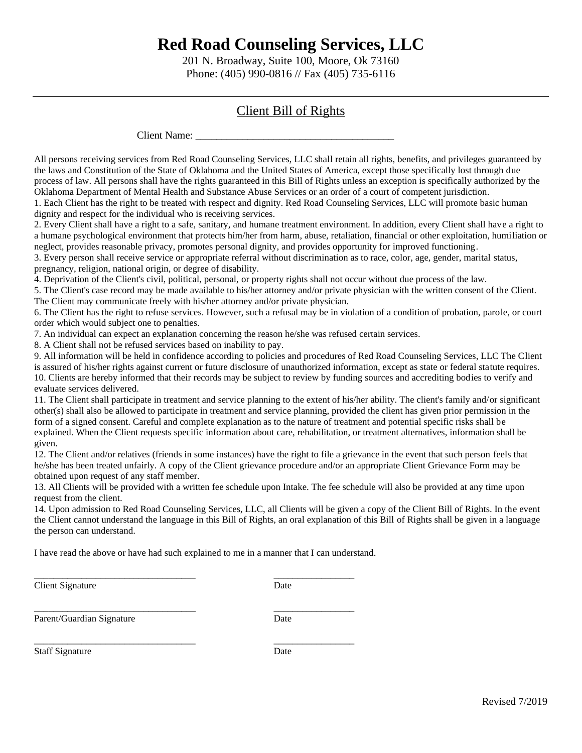201 N. Broadway, Suite 100, Moore, Ok 73160 Phone: (405) 990-0816 // Fax (405) 735-6116

### Client Bill of Rights

Client Name:

All persons receiving services from Red Road Counseling Services, LLC shall retain all rights, benefits, and privileges guaranteed by the laws and Constitution of the State of Oklahoma and the United States of America, except those specifically lost through due process of law. All persons shall have the rights guaranteed in this Bill of Rights unless an exception is specifically authorized by the Oklahoma Department of Mental Health and Substance Abuse Services or an order of a court of competent jurisdiction.

1. Each Client has the right to be treated with respect and dignity. Red Road Counseling Services, LLC will promote basic human dignity and respect for the individual who is receiving services.

2. Every Client shall have a right to a safe, sanitary, and humane treatment environment. In addition, every Client shall have a right to a humane psychological environment that protects him/her from harm, abuse, retaliation, financial or other exploitation, humiliation or neglect, provides reasonable privacy, promotes personal dignity, and provides opportunity for improved functioning.

3. Every person shall receive service or appropriate referral without discrimination as to race, color, age, gender, marital status, pregnancy, religion, national origin, or degree of disability.

4. Deprivation of the Client's civil, political, personal, or property rights shall not occur without due process of the law.

5. The Client's case record may be made available to his/her attorney and/or private physician with the written consent of the Client. The Client may communicate freely with his/her attorney and/or private physician.

6. The Client has the right to refuse services. However, such a refusal may be in violation of a condition of probation, parole, or court order which would subject one to penalties.

7. An individual can expect an explanation concerning the reason he/she was refused certain services.

8. A Client shall not be refused services based on inability to pay.

9. All information will be held in confidence according to policies and procedures of Red Road Counseling Services, LLC The Client is assured of his/her rights against current or future disclosure of unauthorized information, except as state or federal statute requires. 10. Clients are hereby informed that their records may be subject to review by funding sources and accrediting bodies to verify and evaluate services delivered.

11. The Client shall participate in treatment and service planning to the extent of his/her ability. The client's family and/or significant other(s) shall also be allowed to participate in treatment and service planning, provided the client has given prior permission in the form of a signed consent. Careful and complete explanation as to the nature of treatment and potential specific risks shall be explained. When the Client requests specific information about care, rehabilitation, or treatment alternatives, information shall be given.

12. The Client and/or relatives (friends in some instances) have the right to file a grievance in the event that such person feels that he/she has been treated unfairly. A copy of the Client grievance procedure and/or an appropriate Client Grievance Form may be obtained upon request of any staff member.

13. All Clients will be provided with a written fee schedule upon Intake. The fee schedule will also be provided at any time upon request from the client.

14. Upon admission to Red Road Counseling Services, LLC, all Clients will be given a copy of the Client Bill of Rights. In the event the Client cannot understand the language in this Bill of Rights, an oral explanation of this Bill of Rights shall be given in a language the person can understand.

I have read the above or have had such explained to me in a manner that I can understand.

\_\_\_\_\_\_\_\_\_\_\_\_\_\_\_\_\_\_\_\_\_\_\_\_\_\_\_\_\_\_\_\_\_\_ \_\_\_\_\_\_\_\_\_\_\_\_\_\_\_\_\_

Client Signature Date

\_\_\_\_\_\_\_\_\_\_\_\_\_\_\_\_\_\_\_\_\_\_\_\_\_\_\_\_\_\_\_\_\_\_ \_\_\_\_\_\_\_\_\_\_\_\_\_\_\_\_\_

Parent/Guardian Signature Date

\_\_\_\_\_\_\_\_\_\_\_\_\_\_\_\_\_\_\_\_\_\_\_\_\_\_\_\_\_\_\_\_\_\_ \_\_\_\_\_\_\_\_\_\_\_\_\_\_\_\_\_

Staff Signature Date

Revised 7/2019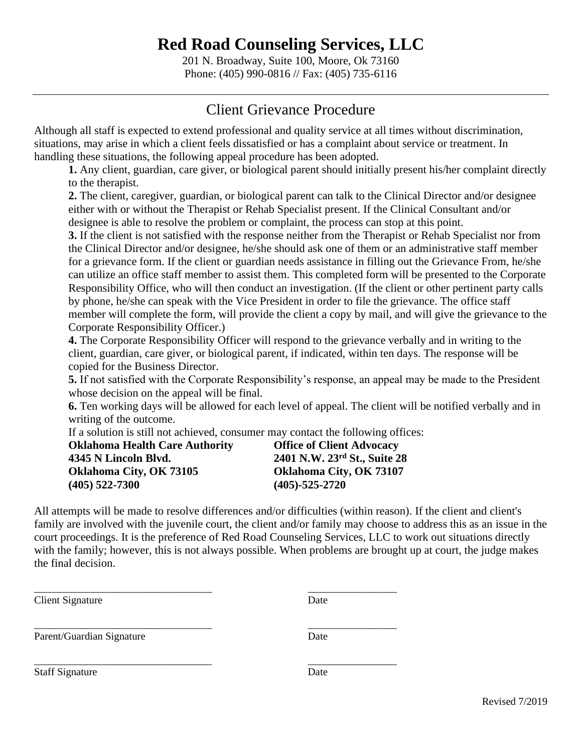201 N. Broadway, Suite 100, Moore, Ok 73160 Phone: (405) 990-0816 // Fax: (405) 735-6116

### Client Grievance Procedure

Although all staff is expected to extend professional and quality service at all times without discrimination, situations, may arise in which a client feels dissatisfied or has a complaint about service or treatment. In handling these situations, the following appeal procedure has been adopted.

**1.** Any client, guardian, care giver, or biological parent should initially present his/her complaint directly to the therapist.

**2.** The client, caregiver, guardian, or biological parent can talk to the Clinical Director and/or designee either with or without the Therapist or Rehab Specialist present. If the Clinical Consultant and/or designee is able to resolve the problem or complaint, the process can stop at this point.

**3.** If the client is not satisfied with the response neither from the Therapist or Rehab Specialist nor from the Clinical Director and/or designee, he/she should ask one of them or an administrative staff member for a grievance form. If the client or guardian needs assistance in filling out the Grievance From, he/she can utilize an office staff member to assist them. This completed form will be presented to the Corporate Responsibility Office, who will then conduct an investigation. (If the client or other pertinent party calls by phone, he/she can speak with the Vice President in order to file the grievance. The office staff member will complete the form, will provide the client a copy by mail, and will give the grievance to the Corporate Responsibility Officer.)

**4.** The Corporate Responsibility Officer will respond to the grievance verbally and in writing to the client, guardian, care giver, or biological parent, if indicated, within ten days. The response will be copied for the Business Director.

**5.** If not satisfied with the Corporate Responsibility's response, an appeal may be made to the President whose decision on the appeal will be final.

**6.** Ten working days will be allowed for each level of appeal. The client will be notified verbally and in writing of the outcome.

If a solution is still not achieved, consumer may contact the following offices:

| <b>Oklahoma Health Care Authority</b> | <b>Offic</b> |
|---------------------------------------|--------------|
| 4345 N Lincoln Blvd.                  | 2401         |
| Oklahoma City, OK 73105               | Oklal        |
| $(405)$ 522-7300                      | (405)        |

\_\_\_\_\_\_\_\_\_\_\_\_\_\_\_\_\_\_\_\_\_\_\_\_\_\_\_\_\_\_\_\_\_\_ \_\_\_\_\_\_\_\_\_\_\_\_\_\_\_\_\_

\_\_\_\_\_\_\_\_\_\_\_\_\_\_\_\_\_\_\_\_\_\_\_\_\_\_\_\_\_\_\_\_\_\_ \_\_\_\_\_\_\_\_\_\_\_\_\_\_\_\_\_

**e** of Client Advocacy **4345 N Lincoln Blvd. 2401 N.W. 23rd St., Suite 28 boma City, OK 73107 (405) 522-7300 (405)-525-2720**

All attempts will be made to resolve differences and/or difficulties (within reason). If the client and client's family are involved with the juvenile court, the client and/or family may choose to address this as an issue in the court proceedings. It is the preference of Red Road Counseling Services, LLC to work out situations directly with the family; however, this is not always possible. When problems are brought up at court, the judge makes the final decision.

**Client Signature** Date

\_\_\_\_\_\_\_\_\_\_\_\_\_\_\_\_\_\_\_\_\_\_\_\_\_\_\_\_\_\_\_\_\_\_ \_\_\_\_\_\_\_\_\_\_\_\_\_\_\_\_\_ Parent/Guardian Signature Date

Staff Signature Date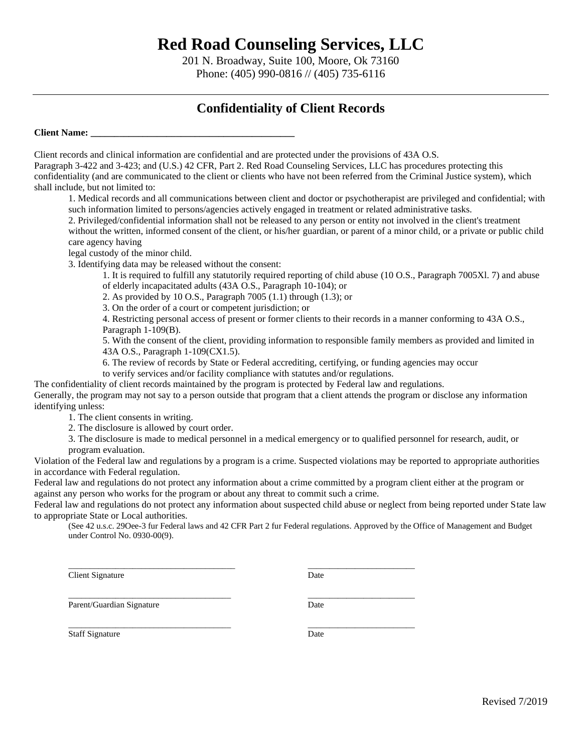201 N. Broadway, Suite 100, Moore, Ok 73160 Phone: (405) 990-0816 // (405) 735-6116

### **Confidentiality of Client Records**

**Client Name: \_\_\_\_\_\_\_\_\_\_\_\_\_\_\_\_\_\_\_\_\_\_\_\_\_\_\_\_\_\_\_\_\_\_\_\_\_\_\_\_\_\_\_**

Client records and clinical information are confidential and are protected under the provisions of 43A O.S.

Paragraph 3-422 and 3-423; and (U.S.) 42 CFR, Part 2. Red Road Counseling Services, LLC has procedures protecting this confidentiality (and are communicated to the client or clients who have not been referred from the Criminal Justice system), which shall include, but not limited to:

1. Medical records and all communications between client and doctor or psychotherapist are privileged and confidential; with such information limited to persons/agencies actively engaged in treatment or related administrative tasks.

2. Privileged/confidential information shall not be released to any person or entity not involved in the client's treatment without the written, informed consent of the client, or his/her guardian, or parent of a minor child, or a private or public child care agency having

legal custody of the minor child.

3. Identifying data may be released without the consent:

1. It is required to fulfill any statutorily required reporting of child abuse (10 O.S., Paragraph 7005Xl. 7) and abuse of elderly incapacitated adults (43A O.S., Paragraph 10-104); or

2. As provided by 10 O.S., Paragraph 7005 (1.1) through (1.3); or

3. On the order of a court or competent jurisdiction; or

4. Restricting personal access of present or former clients to their records in a manner conforming to 43A O.S., Paragraph 1-109(B).

5. With the consent of the client, providing information to responsible family members as provided and limited in 43A O.S., Paragraph 1-109(CX1.5).

6. The review of records by State or Federal accrediting, certifying, or funding agencies may occur

to verify services and/or facility compliance with statutes and/or regulations.

 $\overline{\phantom{a}}$  , and the set of the set of the set of the set of the set of the set of the set of the set of the set of the set of the set of the set of the set of the set of the set of the set of the set of the set of the s

The confidentiality of client records maintained by the program is protected by Federal law and regulations. Generally, the program may not say to a person outside that program that a client attends the program or disclose any information identifying unless:

1. The client consents in writing.

2. The disclosure is allowed by court order.

3. The disclosure is made to medical personnel in a medical emergency or to qualified personnel for research, audit, or program evaluation.

Violation of the Federal law and regulations by a program is a crime. Suspected violations may be reported to appropriate authorities in accordance with Federal regulation.

Federal law and regulations do not protect any information about a crime committed by a program client either at the program or against any person who works for the program or about any threat to commit such a crime.

Federal law and regulations do not protect any information about suspected child abuse or neglect from being reported under State law to appropriate State or Local authorities.

(See 42 u.s.c. 29Oee-3 fur Federal laws and 42 CFR Part 2 fur Federal regulations. Approved by the Office of Management and Budget under Control No. 0930-00(9).

Client Signature Date

Parent/Guardian Signature Date

 $\overline{\phantom{a}}$  , and the contribution of the contribution of the contribution of the contribution of the contribution of the contribution of the contribution of the contribution of the contribution of the contribution of the

 $\frac{1}{2}$  ,  $\frac{1}{2}$  ,  $\frac{1}{2}$  ,  $\frac{1}{2}$  ,  $\frac{1}{2}$  ,  $\frac{1}{2}$  ,  $\frac{1}{2}$  ,  $\frac{1}{2}$  ,  $\frac{1}{2}$  ,  $\frac{1}{2}$  ,  $\frac{1}{2}$  ,  $\frac{1}{2}$  ,  $\frac{1}{2}$  ,  $\frac{1}{2}$  ,  $\frac{1}{2}$  ,  $\frac{1}{2}$  ,  $\frac{1}{2}$  ,  $\frac{1}{2}$  ,  $\frac{1$ 

Staff Signature Date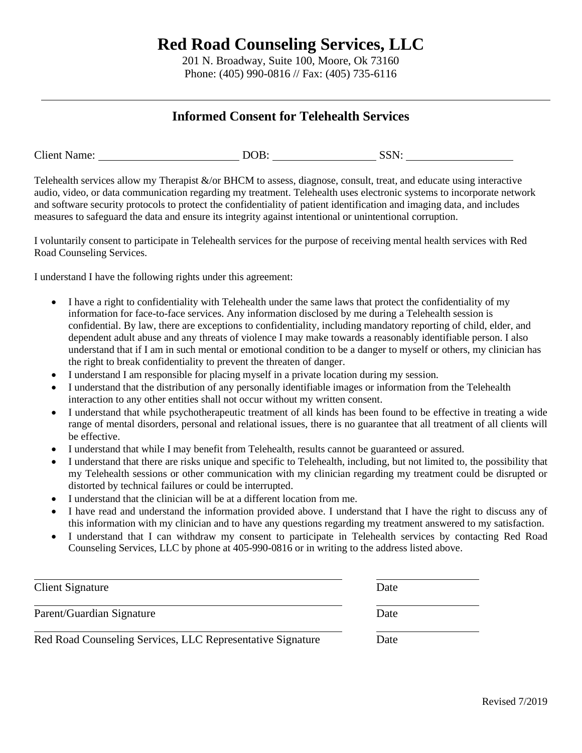201 N. Broadway, Suite 100, Moore, Ok 73160 Phone: (405) 990-0816 // Fax: (405) 735-6116

### **Informed Consent for Telehealth Services**

| <b>Client Name:</b><br>SSN:<br>DOB. |  |
|-------------------------------------|--|
|-------------------------------------|--|

Telehealth services allow my Therapist  $\&$ /or BHCM to assess, diagnose, consult, treat, and educate using interactive audio, video, or data communication regarding my treatment. Telehealth uses electronic systems to incorporate network and software security protocols to protect the confidentiality of patient identification and imaging data, and includes measures to safeguard the data and ensure its integrity against intentional or unintentional corruption.

I voluntarily consent to participate in Telehealth services for the purpose of receiving mental health services with Red Road Counseling Services.

I understand I have the following rights under this agreement:

- I have a right to confidentiality with Telehealth under the same laws that protect the confidentiality of my information for face-to-face services. Any information disclosed by me during a Telehealth session is confidential. By law, there are exceptions to confidentiality, including mandatory reporting of child, elder, and dependent adult abuse and any threats of violence I may make towards a reasonably identifiable person. I also understand that if I am in such mental or emotional condition to be a danger to myself or others, my clinician has the right to break confidentiality to prevent the threaten of danger.
- I understand I am responsible for placing myself in a private location during my session.
- I understand that the distribution of any personally identifiable images or information from the Telehealth interaction to any other entities shall not occur without my written consent.
- I understand that while psychotherapeutic treatment of all kinds has been found to be effective in treating a wide range of mental disorders, personal and relational issues, there is no guarantee that all treatment of all clients will be effective.
- I understand that while I may benefit from Telehealth, results cannot be guaranteed or assured.
- I understand that there are risks unique and specific to Telehealth, including, but not limited to, the possibility that my Telehealth sessions or other communication with my clinician regarding my treatment could be disrupted or distorted by technical failures or could be interrupted.
- I understand that the clinician will be at a different location from me.
- I have read and understand the information provided above. I understand that I have the right to discuss any of this information with my clinician and to have any questions regarding my treatment answered to my satisfaction.
- I understand that I can withdraw my consent to participate in Telehealth services by contacting Red Road Counseling Services, LLC by phone at 405-990-0816 or in writing to the address listed above.

| Client Signature                                           | Date |  |
|------------------------------------------------------------|------|--|
| Parent/Guardian Signature                                  | Date |  |
| Red Road Counseling Services, LLC Representative Signature | Date |  |